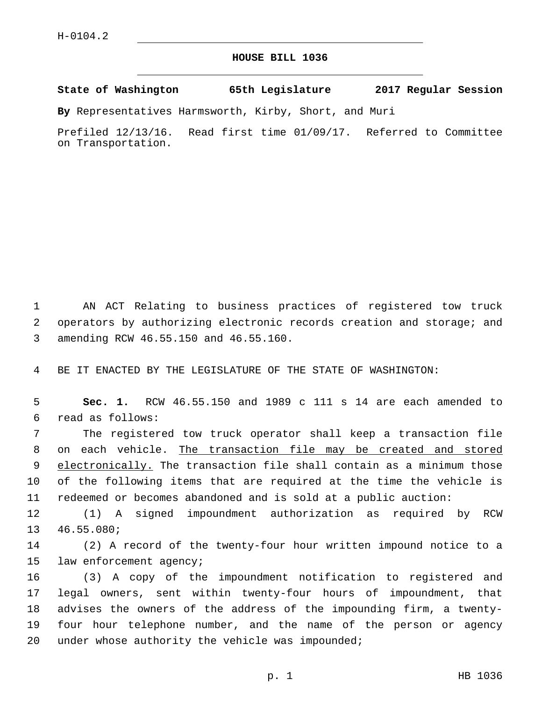## **HOUSE BILL 1036**

**State of Washington 65th Legislature 2017 Regular Session**

**By** Representatives Harmsworth, Kirby, Short, and Muri

Prefiled 12/13/16. Read first time 01/09/17. Referred to Committee on Transportation.

1 AN ACT Relating to business practices of registered tow truck 2 operators by authorizing electronic records creation and storage; and amending RCW 46.55.150 and 46.55.160.3

4 BE IT ENACTED BY THE LEGISLATURE OF THE STATE OF WASHINGTON:

5 **Sec. 1.** RCW 46.55.150 and 1989 c 111 s 14 are each amended to read as follows:6

 The registered tow truck operator shall keep a transaction file on each vehicle. The transaction file may be created and stored 9 electronically. The transaction file shall contain as a minimum those of the following items that are required at the time the vehicle is redeemed or becomes abandoned and is sold at a public auction:

12 (1) A signed impoundment authorization as required by RCW 13 46.55.080;

14 (2) A record of the twenty-four hour written impound notice to a 15 law enforcement agency;

 (3) A copy of the impoundment notification to registered and legal owners, sent within twenty-four hours of impoundment, that advises the owners of the address of the impounding firm, a twenty- four hour telephone number, and the name of the person or agency 20 under whose authority the vehicle was impounded;